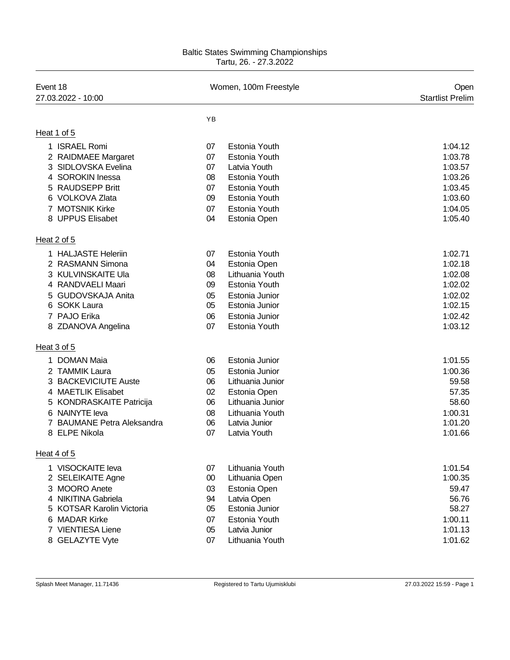## Baltic States Swimming Championships Tartu, 26. - 27.3.2022

| Event 18<br>27.03.2022 - 10:00      | Women, 100m Freestyle |                  | Open<br><b>Startlist Prelim</b> |
|-------------------------------------|-----------------------|------------------|---------------------------------|
|                                     | <b>YB</b>             |                  |                                 |
| Heat 1 of 5                         |                       |                  |                                 |
| 1 ISRAEL Romi                       | 07                    | Estonia Youth    | 1:04.12                         |
| 2 RAIDMAEE Margaret                 | 07                    | Estonia Youth    | 1:03.78                         |
| 3 SIDLOVSKA Evelina                 | 07                    | Latvia Youth     | 1:03.57                         |
| <b>SOROKIN Inessa</b><br>4          | 08                    | Estonia Youth    | 1:03.26                         |
| 5 RAUDSEPP Britt                    | 07                    | Estonia Youth    | 1:03.45                         |
| 6 VOLKOVA Zlata                     | 09                    | Estonia Youth    | 1:03.60                         |
| 7 MOTSNIK Kirke                     | 07                    | Estonia Youth    | 1:04.05                         |
| 8 UPPUS Elisabet                    | 04                    | Estonia Open     | 1:05.40                         |
| Heat 2 of 5                         |                       |                  |                                 |
| 1 HALJASTE Heleriin                 | 07                    | Estonia Youth    | 1:02.71                         |
| 2 RASMANN Simona                    | 04                    | Estonia Open     | 1:02.18                         |
| 3 KULVINSKAITE Ula                  | 08                    | Lithuania Youth  | 1:02.08                         |
| 4 RANDVAELI Maari                   | 09                    | Estonia Youth    | 1:02.02                         |
| <b>GUDOVSKAJA Anita</b><br>5        | 05                    | Estonia Junior   | 1:02.02                         |
| <b>SOKK Laura</b><br>6              | 05                    | Estonia Junior   | 1:02.15                         |
| 7 PAJO Erika                        | 06                    | Estonia Junior   | 1:02.42                         |
| 8 ZDANOVA Angelina                  | 07                    | Estonia Youth    | 1:03.12                         |
| Heat 3 of 5                         |                       |                  |                                 |
| 1 DOMAN Maia                        | 06                    | Estonia Junior   | 1:01.55                         |
| <b>TAMMIK Laura</b><br>2            | 05                    | Estonia Junior   | 1:00.36                         |
| <b>BACKEVICIUTE Auste</b><br>3      | 06                    | Lithuania Junior | 59.58                           |
| <b>MAETLIK Elisabet</b><br>4        | 02                    | Estonia Open     | 57.35                           |
| 5 KONDRASKAITE Patricija            | 06                    | Lithuania Junior | 58.60                           |
| NAINYTE leva<br>6                   | 08                    | Lithuania Youth  | 1:00.31                         |
| <b>BAUMANE Petra Aleksandra</b>     | 06                    | Latvia Junior    | 1:01.20                         |
| 8 ELPE Nikola                       | 07                    | Latvia Youth     | 1:01.66                         |
| Heat 4 of 5                         |                       |                  |                                 |
| 1 VISOCKAITE leva                   | 07                    | Lithuania Youth  | 1:01.54                         |
| 2 SELEIKAITE Agne                   | 00                    | Lithuania Open   | 1:00.35                         |
| 3 MOORO Anete                       | 03                    | Estonia Open     | 59.47                           |
| 4 NIKITINA Gabriela                 | 94                    | Latvia Open      | 56.76                           |
| <b>KOTSAR Karolin Victoria</b><br>5 | 05                    | Estonia Junior   | 58.27                           |
| <b>MADAR Kirke</b><br>6             | 07                    | Estonia Youth    | 1:00.11                         |
| 7 VIENTIESA Liene                   | 05                    | Latvia Junior    | 1:01.13                         |
| 8 GELAZYTE Vyte                     | 07                    | Lithuania Youth  | 1:01.62                         |